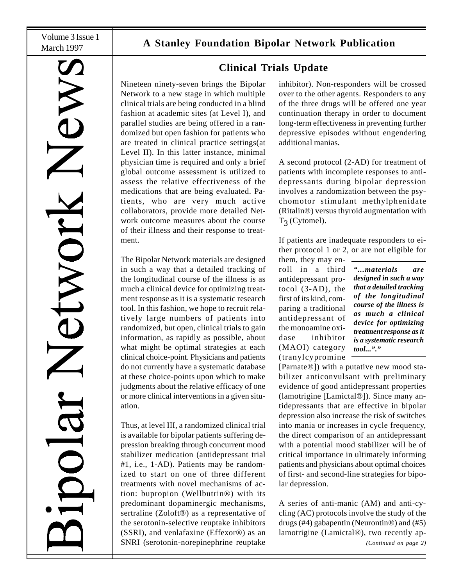HONDE

# March 1997 **A Stanley Foundation Bipolar Network Publication**

**Clinical Trials Update**

Nineteen ninety-seven brings the Bipolar Network to a new stage in which multiple clinical trials are being conducted in a blind fashion at academic sites (at Level I), and parallel studies are being offered in a randomized but open fashion for patients who are treated in clinical practice settings(at Level II). In this latter instance, minimal physician time is required and only a brief global outcome assessment is utilized to assess the relative effectiveness of the medications that are being evaluated. Patients, who are very much active collaborators, provide more detailed Network outcome measures about the course of their illness and their response to treatment.

The Bipolar Network materials are designed in such a way that a detailed tracking of the longitudinal course of the illness is as much a clinical device for optimizing treatment response as it is a systematic research tool. In this fashion, we hope to recruit relatively large numbers of patients into randomized, but open, clinical trials to gain information, as rapidly as possible, about what might be optimal strategies at each clinical choice-point. Physicians and patients do not currently have a systematic database at these choice-points upon which to make judgments about the relative efficacy of one or more clinical interventions in a given situation.

Thus, at level III, a randomized clinical trial is available for bipolar patients suffering depression breaking through concurrent mood stabilizer medication (antidepressant trial #1, i.e., 1-AD). Patients may be randomized to start on one of three different treatments with novel mechanisms of action: bupropion (Wellbutrin®) with its predominant dopaminergic mechanisms, sertraline (Zoloft®) as a representative of the serotonin-selective reuptake inhibitors (SSRI), and venlafaxine (Effexor®) as an SNRI (serotonin-norepinephrine reuptake

inhibitor). Non-responders will be crossed over to the other agents. Responders to any of the three drugs will be offered one year continuation therapy in order to document long-term effectiveness in preventing further depressive episodes without engendering additional manias.

A second protocol (2-AD) for treatment of patients with incomplete responses to antidepressants during bipolar depression involves a randomization between the psychomotor stimulant methylphenidate (Ritalin®) versus thyroid augmentation with  $T_3$  (Cytomel).

If patients are inadequate responders to either protocol 1 or 2, or are not eligible for

them, they may enroll in a third antidepressant protocol (3-AD), the first of its kind, comparing a traditional antidepressant of the monoamine oxidase inhibitor (MAOI) category (tranylcypromine

*"...materials are designed in such a way that a detailed tracking of the longitudinal course of the illness is as much a clinical device for optimizing treatment response as it is a systematic research tool..."."*

[Parnate®]) with a putative new mood stabilizer anticonvulsant with preliminary evidence of good antidepressant properties (lamotrigine [Lamictal®]). Since many antidepressants that are effective in bipolar depression also increase the risk of switches into mania or increases in cycle frequency, the direct comparison of an antidepressant with a potential mood stabilizer will be of critical importance in ultimately informing patients and physicians about optimal choices of first- and second-line strategies for bipolar depression.

*(Continued on page 2)* A series of anti-manic (AM) and anti-cycling (AC) protocols involve the study of the drugs (#4) gabapentin (Neurontin®) and (#5) lamotrigine (Lamictal®), two recently ap-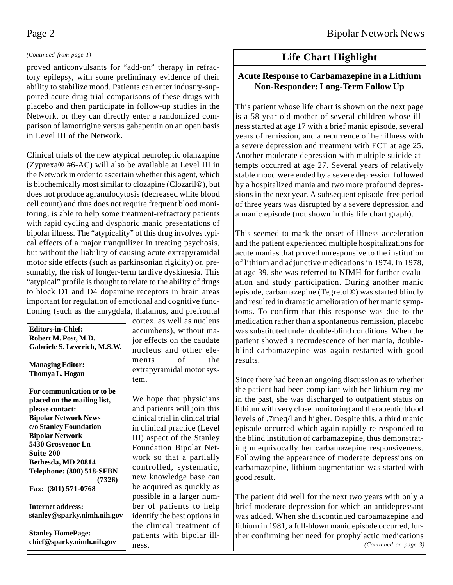## Page 2 Bipolar Network News

### *(Continued from page 1)*

proved anticonvulsants for "add-on" therapy in refractory epilepsy, with some preliminary evidence of their ability to stabilize mood. Patients can enter industry-supported acute drug trial comparisons of these drugs with placebo and then participate in follow-up studies in the Network, or they can directly enter a randomized comparison of lamotrigine versus gabapentin on an open basis in Level III of the Network.

Clinical trials of the new atypical neuroleptic olanzapine (Zyprexa® #6-AC) will also be available at Level III in the Network in order to ascertain whether this agent, which is biochemically most similar to clozapine (Clozaril®), but does not produce agranulocytosis (decreased white blood cell count) and thus does not require frequent blood monitoring, is able to help some treatment-refractory patients with rapid cycling and dysphoric manic presentations of bipolar illness. The "atypicality" of this drug involves typical effects of a major tranquilizer in treating psychosis, but without the liability of causing acute extrapyramidal motor side effects (such as parkinsonian rigidity) or, presumably, the risk of longer-term tardive dyskinesia. This "atypical" profile is thought to relate to the ability of drugs to block D1 and D4 dopamine receptors in brain areas important for regulation of emotional and cognitive functioning (such as the amygdala, thalamus, and prefrontal

**Editors-in-Chief: Robert M. Post, M.D. Gabriele S. Leverich, M.S.W.**

**Managing Editor: Thomya L. Hogan**

**For communication or to be placed on the mailing list, please contact: Bipolar Network News c/o Stanley Foundation Bipolar Network 5430 Grosvenor Ln Suite 200 Bethesda, MD 20814 Telephone: (800) 518-SFBN (7326) Fax: (301) 571-0768**

**Internet address: stanley@sparky.nimh.nih.gov**

**Stanley HomePage: chief@sparky.nimh.nih.gov** cortex, as well as nucleus accumbens), without major effects on the caudate nucleus and other elements of the extrapyramidal motor system.

We hope that physicians and patients will join this clinical trial in clinical trial in clinical practice (Level III) aspect of the Stanley Foundation Bipolar Network so that a partially controlled, systematic, new knowledge base can be acquired as quickly as possible in a larger number of patients to help identify the best options in the clinical treatment of patients with bipolar illness.

## **Life Chart Highlight**

## **Acute Response to Carbamazepine in a Lithium Non-Responder: Long-Term Follow Up**

This patient whose life chart is shown on the next page is a 58-year-old mother of several children whose illness started at age 17 with a brief manic episode, several years of remission, and a recurrence of her illness with a severe depression and treatment with ECT at age 25. Another moderate depression with multiple suicide attempts occurred at age 27. Several years of relatively stable mood were ended by a severe depression followed by a hospitalized mania and two more profound depressions in the next year. A subsequent episode-free period of three years was disrupted by a severe depression and a manic episode (not shown in this life chart graph).

This seemed to mark the onset of illness acceleration and the patient experienced multiple hospitalizations for acute manias that proved unresponsive to the institution of lithium and adjunctive medications in 1974. In 1978, at age 39, she was referred to NIMH for further evaluation and study participation. During another manic episode, carbamazepine (Tegretol®) was started blindly and resulted in dramatic amelioration of her manic symptoms. To confirm that this response was due to the medication rather than a spontaneous remission, placebo was substituted under double-blind conditions. When the patient showed a recrudescence of her mania, doubleblind carbamazepine was again restarted with good results.

Since there had been an ongoing discussion as to whether the patient had been compliant with her lithium regime in the past, she was discharged to outpatient status on lithium with very close monitoring and therapeutic blood levels of .7meq/l and higher. Despite this, a third manic episode occurred which again rapidly re-responded to the blind institution of carbamazepine, thus demonstrating unequivocally her carbamazepine responsiveness. Following the appearance of moderate depressions on carbamazepine, lithium augmentation was started with good result.

The patient did well for the next two years with only a brief moderate depression for which an antidepressant was added. When she discontinued carbamazepine and lithium in 1981, a full-blown manic episode occurred, further confirming her need for prophylactic medications *(Continued on page 3)*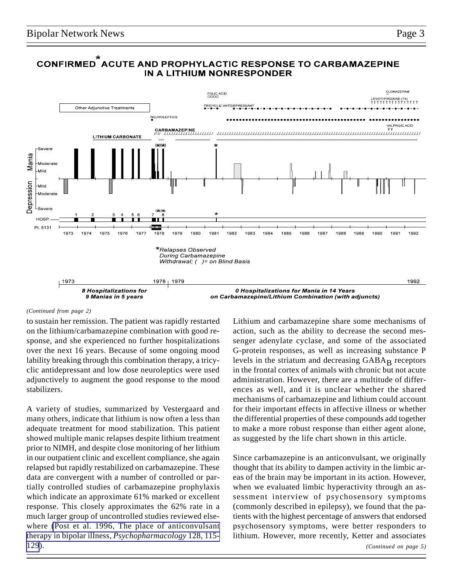

## CONFIRMED ACUTE AND PROPHYLACTIC RESPONSE TO CARBAMAZEPINE IN A LITHIUM NONRESPONDER

#### *(Continued from page 2)*

to sustain her remission. The patient was rapidly restarted on the lithium/carbamazepine combination with good response, and she experienced no further hospitalizations over the next 16 years. Because of some ongoing mood lability breaking through this combination therapy, a tricyclic antidepressant and low dose neuroleptics were used adjunctively to augment the good response to the mood stabilizers.

A variety of studies, summarized by Vestergaard and many others, indicate that lithium is now often a less than adequate treatment for mood stabilization. This patient showed multiple manic relapses despite lithium treatment prior to NIMH, and despite close monitoring of her lithium in our outpatient clinic and excellent compliance, she again relapsed but rapidly restabilized on carbamazepine. These data are convergent with a number of controlled or partially controlled studies of carbamazepine prophylaxis which indicate an approximate 61% marked or excellent response. This closely approximates the 62% rate in a much larger group of uncontrolled studies reviewed elsewhere [\(Post et al. 1996, The place of anticonvulsant](http://www.ncbi.nlm.nih.gov/entrez/query.fcgi?cmd=Retrieve&db=PubMed&list_uids=8956373&dopt=Abstract) [therapy in bipolar illness,](http://www.ncbi.nlm.nih.gov/entrez/query.fcgi?cmd=Retrieve&db=PubMed&list_uids=8956373&dopt=Abstract) *Psychopharmacology* 128, 115- [129](http://www.ncbi.nlm.nih.gov/entrez/query.fcgi?cmd=Retrieve&db=PubMed&list_uids=8956373&dopt=Abstract)).

Lithium and carbamazepine share some mechanisms of action, such as the ability to decrease the second messenger adenylate cyclase, and some of the associated G-protein responses, as well as increasing substance P levels in the striatum and decreasing  $GABA_B$  receptors in the frontal cortex of animals with chronic but not acute administration. However, there are a multitude of differences as well, and it is unclear whether the shared mechanisms of carbamazepine and lithium could account for their important effects in affective illness or whether the differential properties of these compounds add together to make a more robust response than either agent alone, as suggested by the life chart shown in this article.

*(Continued on page 5)* Since carbamazepine is an anticonvulsant, we originally thought that its ability to dampen activity in the limbic areas of the brain may be important in its action. However, when we evaluated limbic hyperactivity through an assessment interview of psychosensory symptoms (commonly described in epilepsy), we found that the patients with the highest percentage of answers that endorsed psychosensory symptoms, were better responders to lithium. However, more recently, Ketter and associates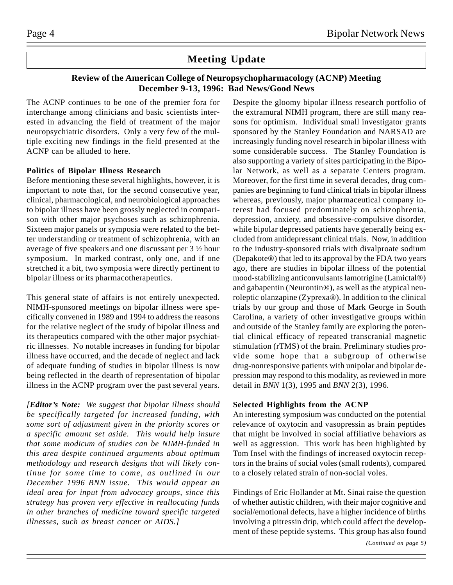## **Meeting Update**

## **Review of the American College of Neuropsychopharmacology (ACNP) Meeting December 9-13, 1996: Bad News/Good News**

The ACNP continues to be one of the premier fora for interchange among clinicians and basic scientists interested in advancing the field of treatment of the major neuropsychiatric disorders. Only a very few of the multiple exciting new findings in the field presented at the ACNP can be alluded to here.

## **Politics of Bipolar Illness Research**

Before mentioning these several highlights, however, it is important to note that, for the second consecutive year, clinical, pharmacological, and neurobiological approaches to bipolar illness have been grossly neglected in comparison with other major psychoses such as schizophrenia. Sixteen major panels or symposia were related to the better understanding or treatment of schizophrenia, with an average of five speakers and one discussant per 3 ½ hour symposium. In marked contrast, only one, and if one stretched it a bit, two symposia were directly pertinent to bipolar illness or its pharmacotherapeutics.

This general state of affairs is not entirely unexpected. NIMH-sponsored meetings on bipolar illness were specifically convened in 1989 and 1994 to address the reasons for the relative neglect of the study of bipolar illness and its therapeutics compared with the other major psychiatric illnesses. No notable increases in funding for bipolar illness have occurred, and the decade of neglect and lack of adequate funding of studies in bipolar illness is now being reflected in the dearth of representation of bipolar illness in the ACNP program over the past several years.

*[Editor's Note: We suggest that bipolar illness should be specifically targeted for increased funding, with some sort of adjustment given in the priority scores or a specific amount set aside. This would help insure that some modicum of studies can be NIMH-funded in this area despite continued arguments about optimum methodology and research designs that will likely continue for some time to come, as outlined in our December 1996 BNN issue. This would appear an ideal area for input from advocacy groups, since this strategy has proven very effective in reallocating funds in other branches of medicine toward specific targeted illnesses, such as breast cancer or AIDS.]*

Despite the gloomy bipolar illness research portfolio of the extramural NIMH program, there are still many reasons for optimism. Individual small investigator grants sponsored by the Stanley Foundation and NARSAD are increasingly funding novel research in bipolar illness with some considerable success. The Stanley Foundation is also supporting a variety of sites participating in the Bipolar Network, as well as a separate Centers program. Moreover, for the first time in several decades, drug companies are beginning to fund clinical trials in bipolar illness whereas, previously, major pharmaceutical company interest had focused predominately on schizophrenia, depression, anxiety, and obsessive-compulsive disorder, while bipolar depressed patients have generally being excluded from antidepressant clinical trials. Now, in addition to the industry-sponsored trials with divalproate sodium (Depakote®) that led to its approval by the FDA two years ago, there are studies in bipolar illness of the potential mood-stabilizing anticonvulsants lamotrigine (Lamictal®) and gabapentin (Neurontin®), as well as the atypical neuroleptic olanzapine (Zyprexa®). In addition to the clinical trials by our group and those of Mark George in South Carolina, a variety of other investigative groups within and outside of the Stanley family are exploring the potential clinical efficacy of repeated transcranial magnetic stimulation (rTMS) of the brain. Preliminary studies provide some hope that a subgroup of otherwise drug-nonresponsive patients with unipolar and bipolar depression may respond to this modality, as reviewed in more detail in *BNN* 1(3), 1995 and *BNN* 2(3), 1996.

## **Selected Highlights from the ACNP**

An interesting symposium was conducted on the potential relevance of oxytocin and vasopressin as brain peptides that might be involved in social affiliative behaviors as well as aggression. This work has been highlighted by Tom Insel with the findings of increased oxytocin receptors in the brains of social voles (small rodents), compared to a closely related strain of non-social voles.

Findings of Eric Hollander at Mt. Sinai raise the question of whether autistic children, with their major cognitive and social/emotional defects, have a higher incidence of births involving a pitressin drip, which could affect the development of these peptide systems. This group has also found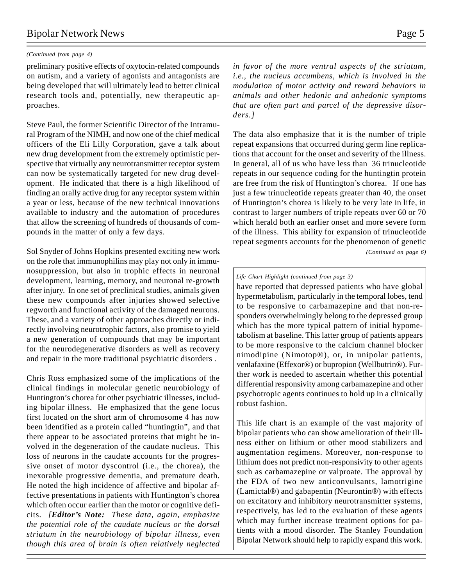## Bipolar Network News Page 5

#### *(Continued from page 4)*

preliminary positive effects of oxytocin-related compounds on autism, and a variety of agonists and antagonists are being developed that will ultimately lead to better clinical research tools and, potentially, new therapeutic approaches.

Steve Paul, the former Scientific Director of the Intramural Program of the NIMH, and now one of the chief medical officers of the Eli Lilly Corporation, gave a talk about new drug development from the extremely optimistic perspective that virtually any neurotransmitter receptor system can now be systematically targeted for new drug development. He indicated that there is a high likelihood of finding an orally active drug for any receptor system within a year or less, because of the new technical innovations available to industry and the automation of procedures that allow the screening of hundreds of thousands of compounds in the matter of only a few days.

Sol Snyder of Johns Hopkins presented exciting new work on the role that immunophilins may play not only in immunosuppression, but also in trophic effects in neuronal development, learning, memory, and neuronal re-growth after injury. In one set of preclinical studies, animals given these new compounds after injuries showed selective regworth and functional activity of the damaged neurons. These, and a variety of other approaches directly or indirectly involving neurotrophic factors, also promise to yield a new generation of compounds that may be important for the neurodegenerative disorders as well as recovery and repair in the more traditional psychiatric disorders .

Chris Ross emphasized some of the implications of the clinical findings in molecular genetic neurobiology of Huntington's chorea for other psychiatric illnesses, including bipolar illness. He emphasized that the gene locus first located on the short arm of chromosome 4 has now been identified as a protein called "huntingtin", and that there appear to be associated proteins that might be involved in the degeneration of the caudate nucleus. This loss of neurons in the caudate accounts for the progressive onset of motor dyscontrol (i.e., the chorea), the inexorable progressive dementia, and premature death. He noted the high incidence of affective and bipolar affective presentations in patients with Huntington's chorea which often occur earlier than the motor or cognitive deficits. *[Editor's Note: These data, again, emphasize the potential role of the caudate nucleus or the dorsal striatum in the neurobiology of bipolar illness, even though this area of brain is often relatively neglected* *in favor of the more ventral aspects of the striatum, i.e., the nucleus accumbens, which is involved in the modulation of motor activity and reward behaviors in animals and other hedonic and anhedonic symptoms that are often part and parcel of the depressive disorders.]*

*(Continued on page 6)* The data also emphasize that it is the number of triple repeat expansions that occurred during germ line replications that account for the onset and severity of the illness. In general, all of us who have less than 36 trinucleotide repeats in our sequence coding for the huntingtin protein are free from the risk of Huntington's chorea. If one has just a few trinucleotide repeats greater than 40, the onset of Huntington's chorea is likely to be very late in life, in contrast to larger numbers of triple repeats over 60 or 70 which herald both an earlier onset and more severe form of the illness. This ability for expansion of trinucleotide repeat segments accounts for the phenomenon of genetic

*Life Chart Highlight (continued from page 3)*

have reported that depressed patients who have global hypermetabolism, particularly in the temporal lobes, tend to be responsive to carbamazepine and that non-responders overwhelmingly belong to the depressed group which has the more typical pattern of initial hypometabolism at baseline. This latter group of patients appears to be more responsive to the calcium channel blocker nimodipine (Nimotop®), or, in unipolar patients, venlafaxine (Effexor®) or bupropion (Wellbutrin®). Further work is needed to ascertain whether this potential differential responsivity among carbamazepine and other psychotropic agents continues to hold up in a clinically robust fashion.

This life chart is an example of the vast majority of bipolar patients who can show amelioration of their illness either on lithium or other mood stabilizers and augmentation regimens. Moreover, non-response to lithium does not predict non-responsivity to other agents such as carbamazepine or valproate. The approval by the FDA of two new anticonvulsants, lamotrigine (Lamictal®) and gabapentin (Neurontin®) with effects on excitatory and inhibitory neurotransmitter systems, respectively, has led to the evaluation of these agents which may further increase treatment options for patients with a mood disorder. The Stanley Foundation Bipolar Network should help to rapidly expand this work.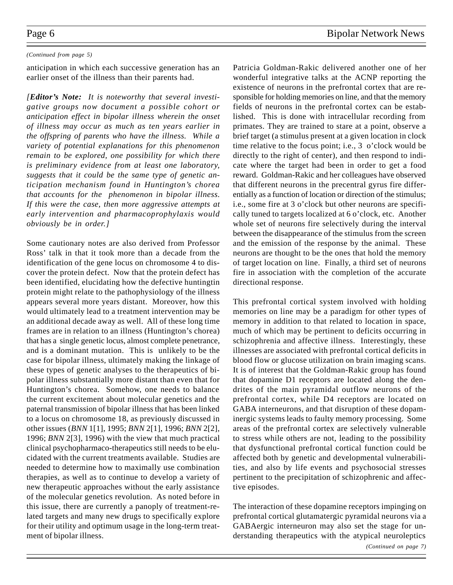#### *(Continued from page 5)*

anticipation in which each successive generation has an earlier onset of the illness than their parents had.

*[Editor's Note: It is noteworthy that several investigative groups now document a possible cohort or anticipation effect in bipolar illness wherein the onset of illness may occur as much as ten years earlier in the offspring of parents who have the illness. While a variety of potential explanations for this phenomenon remain to be explored, one possibility for which there is preliminary evidence from at least one laboratory, suggests that it could be the same type of genetic anticipation mechanism found in Huntington's chorea that accounts for the phenomenon in bipolar illness. If this were the case, then more aggressive attempts at early intervention and pharmacoprophylaxis would obviously be in order.]*

Some cautionary notes are also derived from Professor Ross' talk in that it took more than a decade from the identification of the gene locus on chromosome 4 to discover the protein defect. Now that the protein defect has been identified, elucidating how the defective huntingtin protein might relate to the pathophysiology of the illness appears several more years distant. Moreover, how this would ultimately lead to a treatment intervention may be an additional decade away as well. All of these long time frames are in relation to an illness (Huntington's chorea) that has a single genetic locus, almost complete penetrance, and is a dominant mutation. This is unlikely to be the case for bipolar illness, ultimately making the linkage of these types of genetic analyses to the therapeutics of bipolar illness substantially more distant than even that for Huntington's chorea. Somehow, one needs to balance the current excitement about molecular genetics and the paternal transmission of bipolar illness that has been linked to a locus on chromosome 18, as previously discussed in other issues (*BNN* 1[1], 1995; *BNN* 2[1], 1996; *BNN* 2[2], 1996; *BNN* 2[3], 1996) with the view that much practical clinical psychopharmaco-therapeutics still needs to be elucidated with the current treatments available. Studies are needed to determine how to maximally use combination therapies, as well as to continue to develop a variety of new therapeutic approaches without the early assistance of the molecular genetics revolution. As noted before in this issue, there are currently a panoply of treatment-related targets and many new drugs to specifically explore for their utility and optimum usage in the long-term treatment of bipolar illness.

Patricia Goldman-Rakic delivered another one of her wonderful integrative talks at the ACNP reporting the existence of neurons in the prefrontal cortex that are responsible for holding memories on line, and that the memory fields of neurons in the prefrontal cortex can be established. This is done with intracellular recording from primates. They are trained to stare at a point, observe a brief target (a stimulus present at a given location in clock time relative to the focus point; i.e., 3 o'clock would be directly to the right of center), and then respond to indicate where the target had been in order to get a food reward. Goldman-Rakic and her colleagues have observed that different neurons in the precentral gyrus fire differentially as a function of location or direction of the stimulus; i.e., some fire at 3 o'clock but other neurons are specifically tuned to targets localized at 6 o'clock, etc. Another whole set of neurons fire selectively during the interval between the disappearance of the stimulus from the screen and the emission of the response by the animal. These neurons are thought to be the ones that hold the memory of target location on line. Finally, a third set of neurons fire in association with the completion of the accurate directional response.

This prefrontal cortical system involved with holding memories on line may be a paradigm for other types of memory in addition to that related to location in space, much of which may be pertinent to deficits occurring in schizophrenia and affective illness. Interestingly, these illnesses are associated with prefrontal cortical deficits in blood flow or glucose utilization on brain imaging scans. It is of interest that the Goldman-Rakic group has found that dopamine D1 receptors are located along the dendrites of the main pyramidal outflow neurons of the prefrontal cortex, while D4 receptors are located on GABA interneurons, and that disruption of these dopaminergic systems leads to faulty memory processing. Some areas of the prefrontal cortex are selectively vulnerable to stress while others are not, leading to the possibility that dysfunctional prefrontal cortical function could be affected both by genetic and developmental vulnerabilities, and also by life events and psychosocial stresses pertinent to the precipitation of schizophrenic and affective episodes.

The interaction of these dopamine receptors impinging on prefrontal cortical glutamatergic pyramidal neurons via a GABAergic interneuron may also set the stage for understanding therapeutics with the atypical neuroleptics *(Continued on page 7)*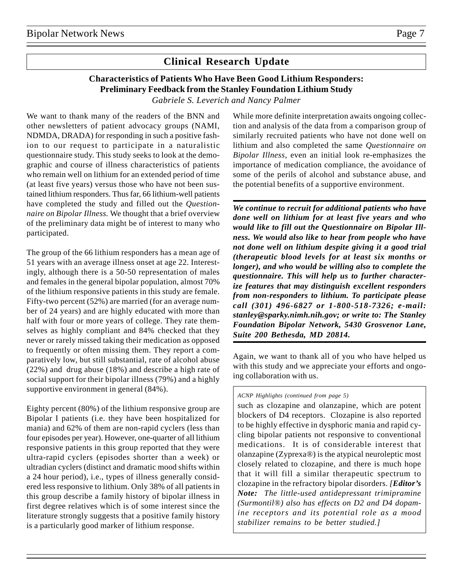## **Clinical Research Update**

## **Characteristics of Patients Who Have Been Good Lithium Responders: Preliminary Feedback from the Stanley Foundation Lithium Study** *Gabriele S. Leverich and Nancy Palmer*

We want to thank many of the readers of the BNN and other newsletters of patient advocacy groups (NAMI, NDMDA, DRADA) for responding in such a positive fashion to our request to participate in a naturalistic questionnaire study. This study seeks to look at the demographic and course of illness characteristics of patients who remain well on lithium for an extended period of time (at least five years) versus those who have not been sustained lithium responders. Thus far, 66 lithium-well patients have completed the study and filled out the *Questionnaire on Bipolar Illness.* We thought that a brief overview of the preliminary data might be of interest to many who participated.

The group of the 66 lithium responders has a mean age of 51 years with an average illness onset at age 22. Interestingly, although there is a 50-50 representation of males and females in the general bipolar population, almost 70% of the lithium responsive patients in this study are female. Fifty-two percent (52%) are married (for an average number of 24 years) and are highly educated with more than half with four or more years of college. They rate themselves as highly compliant and 84% checked that they never or rarely missed taking their medication as opposed to frequently or often missing them. They report a comparatively low, but still substantial, rate of alcohol abuse (22%) and drug abuse (18%) and describe a high rate of social support for their bipolar illness (79%) and a highly supportive environment in general (84%).

Eighty percent (80%) of the lithium responsive group are Bipolar I patients (i.e. they have been hospitalized for mania) and 62% of them are non-rapid cyclers (less than four episodes per year). However, one-quarter of all lithium responsive patients in this group reported that they were ultra-rapid cyclers (episodes shorter than a week) or ultradian cyclers (distinct and dramatic mood shifts within a 24 hour period), i.e., types of illness generally considered less responsive to lithium. Only 38% of all patients in this group describe a family history of bipolar illness in first degree relatives which is of some interest since the literature strongly suggests that a positive family history is a particularly good marker of lithium response.

While more definite interpretation awaits ongoing collection and analysis of the data from a comparison group of similarly recruited patients who have not done well on lithium and also completed the same *Questionnaire on Bipolar Illness*, even an initial look re-emphasizes the importance of medication compliance, the avoidance of some of the perils of alcohol and substance abuse, and the potential benefits of a supportive environment.

*We continue to recruit for additional patients who have done well on lithium for at least five years and who would like to fill out the Questionnaire on Bipolar Illness. We would also like to hear from people who have not done well on lithium despite giving it a good trial (therapeutic blood levels for at least six months or longer), and who would be willing also to complete the questionnaire. This will help us to further characterize features that may distinguish excellent responders from non-responders to lithium. To participate please call (301) 496-6827 or 1-800-518-7326; e-mail: stanley@sparky.nimh.nih.gov; or write to: The Stanley Foundation Bipolar Network, 5430 Grosvenor Lane, Suite 200 Bethesda, MD 20814.*

Again, we want to thank all of you who have helped us with this study and we appreciate your efforts and ongoing collaboration with us.

#### *ACNP Highlights (continued from page 5)*

such as clozapine and olanzapine, which are potent blockers of D4 receptors. Clozapine is also reported to be highly effective in dysphoric mania and rapid cycling bipolar patients not responsive to conventional medications. It is of considerable interest that olanzapine (Zyprexa®) is the atypical neuroleptic most closely related to clozapine, and there is much hope that it will fill a similar therapeutic spectrum to clozapine in the refractory bipolar disorders. *[Editor's Note: The little-used antidepressant trimipramine (Surmontil®) also has effects on D2 and D4 dopamine receptors and its potential role as a mood stabilizer remains to be better studied.]*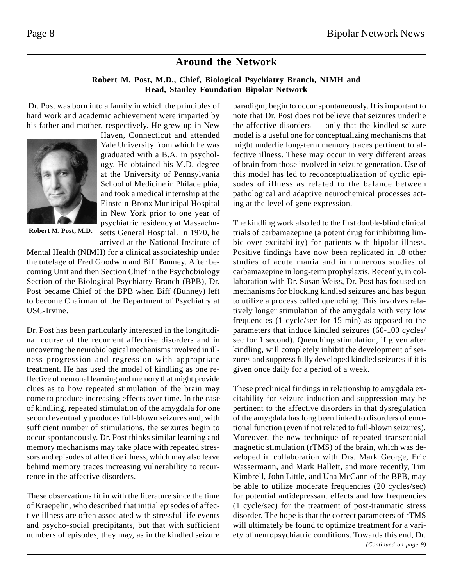## **Around the Network**

## **Robert M. Post, M.D., Chief, Biological Psychiatry Branch, NIMH and Head, Stanley Foundation Bipolar Network**

Dr. Post was born into a family in which the principles of hard work and academic achievement were imparted by his father and mother, respectively. He grew up in New



**Robert M. Post, M.D.**

Haven, Connecticut and attended Yale University from which he was graduated with a B.A. in psychology. He obtained his M.D. degree at the University of Pennsylvania School of Medicine in Philadelphia, and took a medical internship at the Einstein-Bronx Municipal Hospital in New York prior to one year of psychiatric residency at Massachusetts General Hospital. In 1970, he arrived at the National Institute of

Mental Health (NIMH) for a clinical associateship under the tutelage of Fred Goodwin and Biff Bunney. After becoming Unit and then Section Chief in the Psychobiology Section of the Biological Psychiatry Branch (BPB), Dr. Post became Chief of the BPB when Biff (Bunney) left to become Chairman of the Department of Psychiatry at USC-Irvine.

Dr. Post has been particularly interested in the longitudinal course of the recurrent affective disorders and in uncovering the neurobiological mechanisms involved in illness progression and regression with appropriate treatment. He has used the model of kindling as one reflective of neuronal learning and memory that might provide clues as to how repeated stimulation of the brain may come to produce increasing effects over time. In the case of kindling, repeated stimulation of the amygdala for one second eventually produces full-blown seizures and, with sufficient number of stimulations, the seizures begin to occur spontaneously. Dr. Post thinks similar learning and memory mechanisms may take place with repeated stressors and episodes of affective illness, which may also leave behind memory traces increasing vulnerability to recurrence in the affective disorders.

These observations fit in with the literature since the time of Kraepelin, who described that initial episodes of affective illness are often associated with stressful life events and psycho-social precipitants, but that with sufficient numbers of episodes, they may, as in the kindled seizure paradigm, begin to occur spontaneously. It is important to note that Dr. Post does not believe that seizures underlie the affective disorders — only that the kindled seizure model is a useful one for conceptualizing mechanisms that might underlie long-term memory traces pertinent to affective illness. These may occur in very different areas of brain from those involved in seizure generation. Use of this model has led to reconceptualization of cyclic episodes of illness as related to the balance between pathological and adaptive neurochemical processes acting at the level of gene expression.

The kindling work also led to the first double-blind clinical trials of carbamazepine (a potent drug for inhibiting limbic over-excitability) for patients with bipolar illness. Positive findings have now been replicated in 18 other studies of acute mania and in numerous studies of carbamazepine in long-term prophylaxis. Recently, in collaboration with Dr. Susan Weiss, Dr. Post has focused on mechanisms for blocking kindled seizures and has begun to utilize a process called quenching. This involves relatively longer stimulation of the amygdala with very low frequencies (1 cycle/sec for 15 min) as opposed to the parameters that induce kindled seizures (60-100 cycles/ sec for 1 second). Quenching stimulation, if given after kindling, will completely inhibit the development of seizures and suppress fully developed kindled seizures if it is given once daily for a period of a week.

*(Continued on page 9)* These preclinical findings in relationship to amygdala excitability for seizure induction and suppression may be pertinent to the affective disorders in that dysregulation of the amygdala has long been linked to disorders of emotional function (even if not related to full-blown seizures). Moreover, the new technique of repeated transcranial magnetic stimulation (rTMS) of the brain, which was developed in collaboration with Drs. Mark George, Eric Wassermann, and Mark Hallett, and more recently, Tim Kimbrell, John Little, and Una McCann of the BPB, may be able to utilize moderate frequencies (20 cycles/sec) for potential antidepressant effects and low frequencies (1 cycle/sec) for the treatment of post-traumatic stress disorder. The hope is that the correct parameters of rTMS will ultimately be found to optimize treatment for a variety of neuropsychiatric conditions. Towards this end, Dr.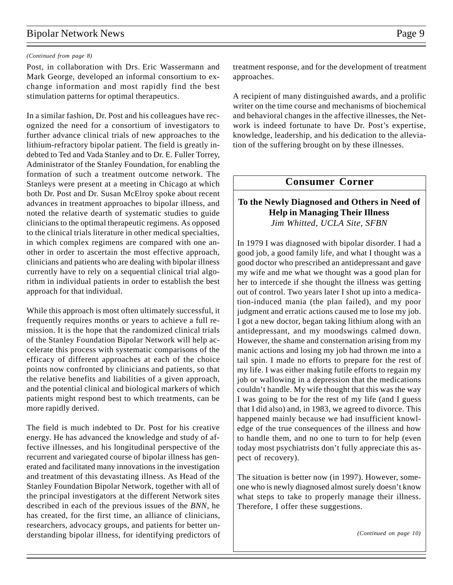## Bipolar Network News Page 9

#### *(Continued from page 8)*

Post, in collaboration with Drs. Eric Wassermann and Mark George, developed an informal consortium to exchange information and most rapidly find the best stimulation patterns for optimal therapeutics.

In a similar fashion, Dr. Post and his colleagues have recognized the need for a consortium of investigators to further advance clinical trials of new approaches to the lithium-refractory bipolar patient. The field is greatly indebted to Ted and Vada Stanley and to Dr. E. Fuller Torrey, Administrator of the Stanley Foundation, for enabling the formation of such a treatment outcome network. The Stanleys were present at a meeting in Chicago at which both Dr. Post and Dr. Susan McElroy spoke about recent advances in treatment approaches to bipolar illness, and noted the relative dearth of systematic studies to guide clinicians to the optimal therapeutic regimens. As opposed to the clinical trials literature in other medical specialties, in which complex regimens are compared with one another in order to ascertain the most effective approach, clinicians and patients who are dealing with bipolar illness currently have to rely on a sequential clinical trial algorithm in individual patients in order to establish the best approach for that individual.

While this approach is most often ultimately successful, it frequently requires months or years to achieve a full remission. It is the hope that the randomized clinical trials of the Stanley Foundation Bipolar Network will help accelerate this process with systematic comparisons of the efficacy of different approaches at each of the choice points now confronted by clinicians and patients, so that the relative benefits and liabilities of a given approach, and the potential clinical and biological markers of which patients might respond best to which treatments, can be more rapidly derived.

The field is much indebted to Dr. Post for his creative energy. He has advanced the knowledge and study of affective illnesses, and his longitudinal perspective of the recurrent and variegated course of bipolar illness has generated and facilitated many innovations in the investigation and treatment of this devastating illness. As Head of the Stanley Foundation Bipolar Network, together with all of the principal investigators at the different Network sites described in each of the previous issues of the *BNN*, he has created, for the first time, an alliance of clinicians, researchers, advocacy groups, and patients for better understanding bipolar illness, for identifying predictors of treatment response, and for the development of treatment approaches.

A recipient of many distinguished awards, and a prolific writer on the time course and mechanisms of biochemical and behavioral changes in the affective illnesses, the Network is indeed fortunate to have Dr. Post's expertise, knowledge, leadership, and his dedication to the alleviation of the suffering brought on by these illnesses.

## **Consumer Corner**

## **To the Newly Diagnosed and Others in Need of Help in Managing Their Illness** *Jim Whitted, UCLA Site, SFBN*

In 1979 I was diagnosed with bipolar disorder. I had a good job, a good family life, and what I thought was a good doctor who prescribed an antidepressant and gave my wife and me what we thought was a good plan for her to intercede if she thought the illness was getting out of control. Two years later I shot up into a medication-induced mania (the plan failed), and my poor judgment and erratic actions caused me to lose my job. I got a new doctor, began taking lithium along with an antidepressant, and my moodswings calmed down. However, the shame and consternation arising from my manic actions and losing my job had thrown me into a tail spin. I made no efforts to prepare for the rest of my life. I was either making futile efforts to regain my job or wallowing in a depression that the medications couldn't handle. My wife thought that this was the way I was going to be for the rest of my life (and I guess that I did also) and, in 1983, we agreed to divorce. This happened mainly because we had insufficient knowledge of the true consequences of the illness and how to handle them, and no one to turn to for help (even today most psychiatrists don't fully appreciate this aspect of recovery).

The situation is better now (in 1997). However, someone who is newly diagnosed almost surely doesn't know what steps to take to properly manage their illness. Therefore, I offer these suggestions.

*(Continued on page 10)*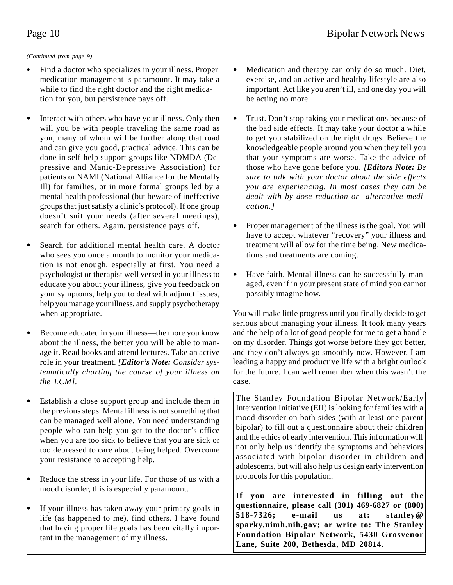#### *(Continued from page 9)*

- Find a doctor who specializes in your illness. Proper medication management is paramount. It may take a while to find the right doctor and the right medication for you, but persistence pays off.
- Interact with others who have your illness. Only then will you be with people traveling the same road as you, many of whom will be further along that road and can give you good, practical advice. This can be done in self-help support groups like NDMDA (Depressive and Manic-Depressive Association) for patients or NAMI (National Alliance for the Mentally Ill) for families, or in more formal groups led by a mental health professional (but beware of ineffective groups that just satisfy a clinic's protocol). If one group doesn't suit your needs (after several meetings), search for others. Again, persistence pays off.
- Search for additional mental health care. A doctor who sees you once a month to monitor your medication is not enough, especially at first. You need a psychologist or therapist well versed in your illness to educate you about your illness, give you feedback on your symptoms, help you to deal with adjunct issues, help you manage your illness, and supply psychotherapy when appropriate.
- Become educated in your illness—the more you know about the illness, the better you will be able to manage it. Read books and attend lectures. Take an active role in your treatment. *[Editor's Note: Consider systematically charting the course of your illness on the LCM].*
- Establish a close support group and include them in the previous steps. Mental illness is not something that can be managed well alone. You need understanding people who can help you get to the doctor's office when you are too sick to believe that you are sick or too depressed to care about being helped. Overcome your resistance to accepting help.
- Reduce the stress in your life. For those of us with a mood disorder, this is especially paramount.
- If your illness has taken away your primary goals in life (as happened to me), find others. I have found that having proper life goals has been vitally important in the management of my illness.
- Medication and therapy can only do so much. Diet, exercise, and an active and healthy lifestyle are also important. Act like you aren't ill, and one day you will be acting no more.
- Trust. Don't stop taking your medications because of the bad side effects. It may take your doctor a while to get you stabilized on the right drugs. Believe the knowledgeable people around you when they tell you that your symptoms are worse. Take the advice of those who have gone before you. *[Editors Note: Be sure to talk with your doctor about the side effects you are experiencing. In most cases they can be dealt with by dose reduction or alternative medication.]*
- Proper management of the illness is the goal. You will have to accept whatever "recovery" your illness and treatment will allow for the time being. New medications and treatments are coming.
- Have faith. Mental illness can be successfully managed, even if in your present state of mind you cannot possibly imagine how.

You will make little progress until you finally decide to get serious about managing your illness. It took many years and the help of a lot of good people for me to get a handle on my disorder. Things got worse before they got better, and they don't always go smoothly now. However, I am leading a happy and productive life with a bright outlook for the future. I can well remember when this wasn't the case.

The Stanley Foundation Bipolar Network/Early Intervention Initiative (EII) is looking for families with a mood disorder on both sides (with at least one parent bipolar) to fill out a questionnaire about their children and the ethics of early intervention. This information will not only help us identify the symptoms and behaviors associated with bipolar disorder in children and adolescents, but will also help us design early intervention protocols for this population.

**If you are interested in filling out the questionnaire, please call (301) 469-6827 or (800) 518-7326; e-mail us at: stanley@ sparky.nimh.nih.gov; or write to: The Stanley Foundation Bipolar Network, 5430 Grosvenor Lane, Suite 200, Bethesda, MD 20814.**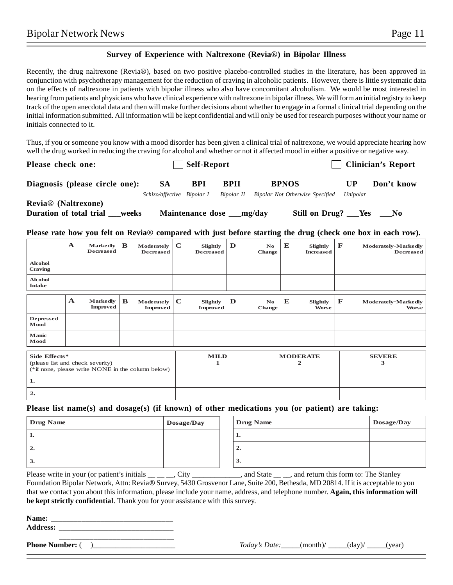### **Survey of Experience with Naltrexone (Revia**®**) in Bipolar Illness**

Recently, the drug naltrexone (Revia®), based on two positive placebo-controlled studies in the literature, has been approved in conjunction with psychotherapy management for the reduction of craving in alcoholic patients. However, there is little systematic data on the effects of naltrexone in patients with bipolar illness who also have concomitant alcoholism. We would be most interested in hearing from patients and physicians who have clinical experience with naltrexone in bipolar illness. We will form an initial registry to keep track of the open anecdotal data and then will make further decisions about whether to engage in a formal clinical trial depending on the initial information submitted. All information will be kept confidential and will only be used for research purposes without your name or initials connected to it.

Thus, if you or someone you know with a mood disorder has been given a clinical trial of naltrexone, we would appreciate hearing how well the drug worked in reducing the craving for alcohol and whether or not it affected mood in either a positive or negative way.

| Please check one:                |                            | Self-Report             |             | <b>Clinician's Report</b>       |                |             |  |
|----------------------------------|----------------------------|-------------------------|-------------|---------------------------------|----------------|-------------|--|
| Diagnosis (please circle one):   | <b>SA</b>                  | <b>BPI</b>              | <b>BPII</b> | <b>BPNOS</b>                    | UP<br>Unipolar | Don't know  |  |
|                                  | Schizo/affective Bipolar I |                         | Bipolar II  | Bipolar Not Otherwise Specified |                |             |  |
| <b>Revia®</b> (Naltrexone)       |                            |                         |             |                                 |                |             |  |
| Duration of total trial<br>weeks |                            | <b>Maintenance dose</b> | __mg/day    | Still on Drug? ___Yes           |                | $\equiv$ No |  |

**Please rate how you felt on Revia**® **compared with just before starting the drug (check one box in each row).**

|                                                                                                        | $\mathbf{A}$ | <b>Markedly</b><br><b>Decreased</b> | B                | Moderately<br><b>Decreased</b> | $\mathbf C$ | Slightly<br><b>Decreased</b> | D | N <sub>o</sub><br><b>Change</b> | E                  | Slightly<br><b>Increased</b>    | F            | Moderately-Markedly<br>Decreased    |
|--------------------------------------------------------------------------------------------------------|--------------|-------------------------------------|------------------|--------------------------------|-------------|------------------------------|---|---------------------------------|--------------------|---------------------------------|--------------|-------------------------------------|
| <b>Alcohol</b><br><b>Craving</b>                                                                       |              |                                     |                  |                                |             |                              |   |                                 |                    |                                 |              |                                     |
| <b>Alcohol</b><br><b>Intake</b>                                                                        |              |                                     |                  |                                |             |                              |   |                                 |                    |                                 |              |                                     |
|                                                                                                        | $\mathbf A$  | <b>Markedly</b><br><b>Improved</b>  | $\mathbf{B}$     | Moderately<br><b>Improved</b>  | $\mathbf C$ | Slightly<br><b>Improved</b>  | D | N <sub>o</sub><br><b>Change</b> | E                  | <b>Slightly</b><br><b>Worse</b> | $\mathbf{F}$ | Moderately-Markedly<br><b>Worse</b> |
| <b>Depressed</b><br>Mood                                                                               |              |                                     |                  |                                |             |                              |   |                                 |                    |                                 |              |                                     |
| Manic<br>Mood                                                                                          |              |                                     |                  |                                |             |                              |   |                                 |                    |                                 |              |                                     |
| Side Effects*<br>(please list and check severity)<br>(*if none, please write NONE in the column below) |              |                                     | <b>MILD</b><br>1 |                                |             | <b>MODERATE</b><br>2         |   |                                 | <b>SEVERE</b><br>3 |                                 |              |                                     |
| 1.                                                                                                     |              |                                     |                  |                                |             |                              |   |                                 |                    |                                 |              |                                     |
| 2.                                                                                                     |              |                                     |                  |                                |             |                              |   |                                 |                    |                                 |              |                                     |

## **Please list name(s) and dosage(s) (if known) of other medications you (or patient) are taking:**

| Drug Name | Dosage/Day | Drug Name                 | Dosage/Day |
|-----------|------------|---------------------------|------------|
| . .       |            | . .                       |            |
| ◠<br>∸.   |            | $\rightarrow$<br><u>.</u> |            |
| 3.        |            | 3.                        |            |

Please write in your (or patient's initials \_\_ \_\_ \_\_, City \_\_\_\_\_\_\_\_\_\_\_\_, and State \_\_ \_\_, and return this form to: The Stanley Foundation Bipolar Network, Attn: Revia® Survey, 5430 Grosvenor Lane, Suite 200, Bethesda, MD 20814. If it is acceptable to you that we contact you about this information, please include your name, address, and telephone number. **Again, this information will be kept strictly confidential**. Thank you for your assistance with this survey.

| Name:           |  |
|-----------------|--|
| <b>Address:</b> |  |
|                 |  |

**Phone Number:** ( )